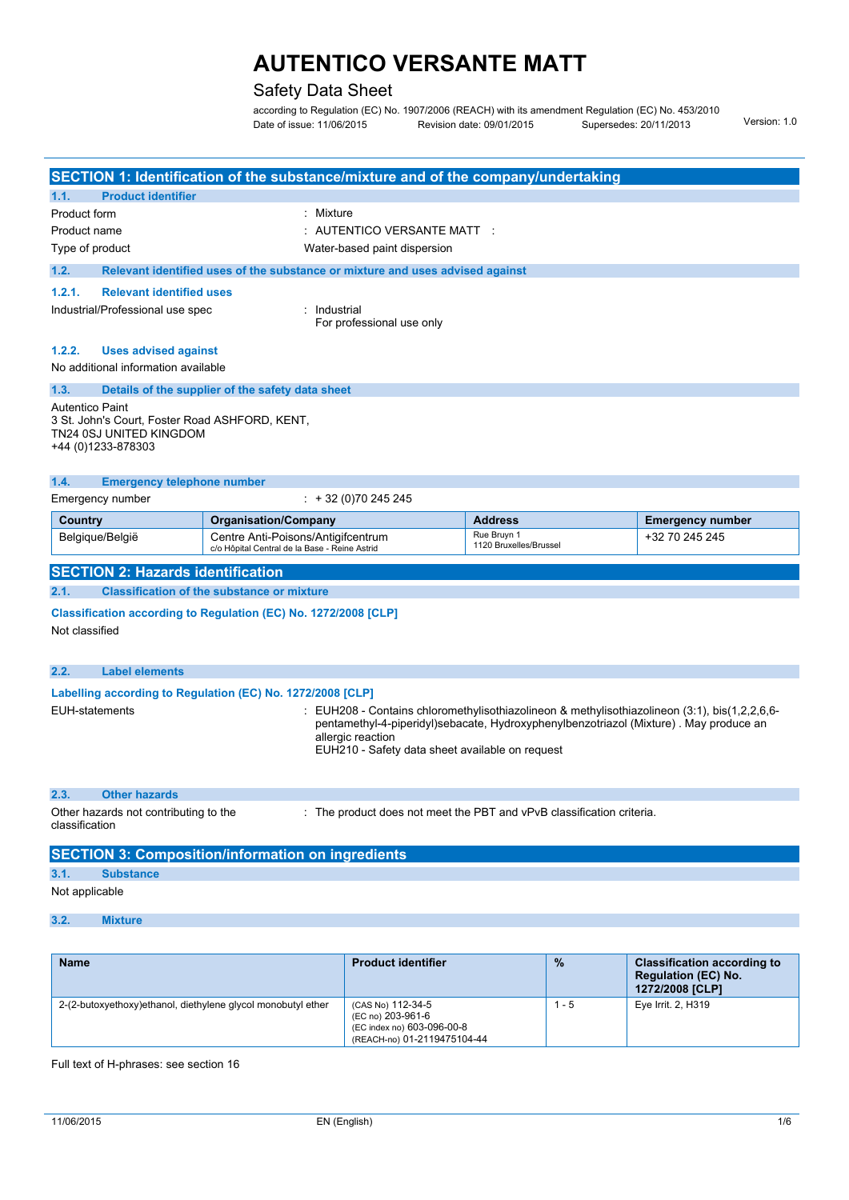### Safety Data Sheet

according to Regulation (EC) No. 1907/2006 (REACH) with its amendment Regulation (EC) No. 453/2010 Date of issue: 11/06/2015 Revision date: 09/01/2015 Supersedes: 20/11/2013 Version: 1.0

|                                                                                                                                                                                                                                                                                                                                                     |                                                                                                                                                         | SECTION 1: Identification of the substance/mixture and of the company/undertaking   |                                       |                         |  |  |
|-----------------------------------------------------------------------------------------------------------------------------------------------------------------------------------------------------------------------------------------------------------------------------------------------------------------------------------------------------|---------------------------------------------------------------------------------------------------------------------------------------------------------|-------------------------------------------------------------------------------------|---------------------------------------|-------------------------|--|--|
| 1.1.                                                                                                                                                                                                                                                                                                                                                | <b>Product identifier</b>                                                                                                                               |                                                                                     |                                       |                         |  |  |
| Product form                                                                                                                                                                                                                                                                                                                                        |                                                                                                                                                         | Mixture<br>٠                                                                        |                                       |                         |  |  |
| Product name                                                                                                                                                                                                                                                                                                                                        |                                                                                                                                                         | $\pm$ AUTENTICO VERSANTE MATT $\pm$                                                 |                                       |                         |  |  |
| Type of product                                                                                                                                                                                                                                                                                                                                     |                                                                                                                                                         | Water-based paint dispersion                                                        |                                       |                         |  |  |
| 1.2.                                                                                                                                                                                                                                                                                                                                                |                                                                                                                                                         | Relevant identified uses of the substance or mixture and uses advised against       |                                       |                         |  |  |
| 1.2.1.                                                                                                                                                                                                                                                                                                                                              | <b>Relevant identified uses</b>                                                                                                                         |                                                                                     |                                       |                         |  |  |
|                                                                                                                                                                                                                                                                                                                                                     | Industrial/Professional use spec                                                                                                                        | Industrial<br>For professional use only                                             |                                       |                         |  |  |
| 1.2.2.                                                                                                                                                                                                                                                                                                                                              | <b>Uses advised against</b>                                                                                                                             |                                                                                     |                                       |                         |  |  |
|                                                                                                                                                                                                                                                                                                                                                     | No additional information available                                                                                                                     |                                                                                     |                                       |                         |  |  |
| 1.3.                                                                                                                                                                                                                                                                                                                                                |                                                                                                                                                         | Details of the supplier of the safety data sheet                                    |                                       |                         |  |  |
| 1.4.                                                                                                                                                                                                                                                                                                                                                | Autentico Paint<br>3 St. John's Court, Foster Road ASHFORD, KENT,<br>TN24 0SJ UNITED KINGDOM<br>+44 (0)1233-878303<br><b>Emergency telephone number</b> |                                                                                     |                                       |                         |  |  |
|                                                                                                                                                                                                                                                                                                                                                     | Emergency number                                                                                                                                        | $: +32(0)70245245$                                                                  |                                       |                         |  |  |
| Country                                                                                                                                                                                                                                                                                                                                             |                                                                                                                                                         | <b>Organisation/Company</b>                                                         | <b>Address</b>                        | <b>Emergency number</b> |  |  |
| Belgique/België                                                                                                                                                                                                                                                                                                                                     |                                                                                                                                                         | Centre Anti-Poisons/Antigifcentrum<br>c/o Hôpital Central de la Base - Reine Astrid | Rue Bruvn 1<br>1120 Bruxelles/Brussel | +32 70 245 245          |  |  |
|                                                                                                                                                                                                                                                                                                                                                     | <b>SECTION 2: Hazards identification</b>                                                                                                                |                                                                                     |                                       |                         |  |  |
| 2.1.                                                                                                                                                                                                                                                                                                                                                |                                                                                                                                                         | <b>Classification of the substance or mixture</b>                                   |                                       |                         |  |  |
| Classification according to Regulation (EC) No. 1272/2008 [CLP]<br>Not classified                                                                                                                                                                                                                                                                   |                                                                                                                                                         |                                                                                     |                                       |                         |  |  |
| 2.2.                                                                                                                                                                                                                                                                                                                                                | <b>Label elements</b>                                                                                                                                   |                                                                                     |                                       |                         |  |  |
| Labelling according to Regulation (EC) No. 1272/2008 [CLP]<br><b>EUH-statements</b><br>EUH208 - Contains chloromethylisothiazolineon & methylisothiazolineon (3:1), bis(1,2,2,6,6-<br>pentamethyl-4-piperidyl)sebacate, Hydroxyphenylbenzotriazol (Mixture). May produce an<br>allergic reaction<br>EUH210 - Safety data sheet available on request |                                                                                                                                                         |                                                                                     |                                       |                         |  |  |

#### **2.3. Other hazards**

Other hazards not contributing to the classification : The product does not meet the PBT and vPvB classification criteria.

## **SECTION 3: Composition/information on ingredients 3.1. Substance** Not applicable

#### **3.2. Mixture**

| <b>Name</b>                                                  | <b>Product identifier</b>                                                                           | $\frac{9}{6}$ | <b>Classification according to</b><br><b>Regulation (EC) No.</b><br>1272/2008 [CLP] |
|--------------------------------------------------------------|-----------------------------------------------------------------------------------------------------|---------------|-------------------------------------------------------------------------------------|
| 2-(2-butoxyethoxy)ethanol, diethylene glycol monobutyl ether | (CAS No) 112-34-5<br>(EC no) 203-961-6<br>(EC index no) 603-096-00-8<br>(REACH-no) 01-2119475104-44 | $1 - 5$       | Eye Irrit. 2, H319                                                                  |

Full text of H-phrases: see section 16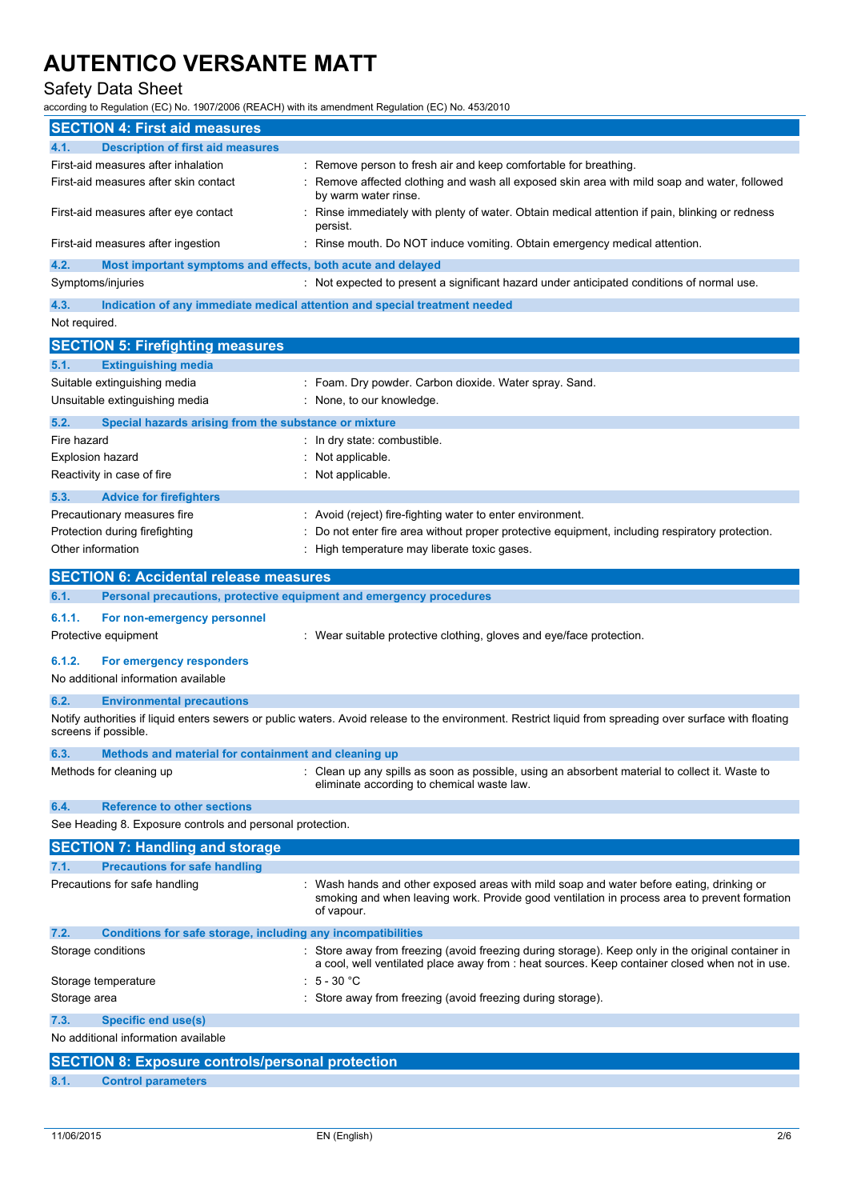### Safety Data Sheet

according to Regulation (EC) No. 1907/2006 (REACH) with its amendment Regulation (EC) No. 453/2010

|                   | <b>SECTION 4: First aid measures</b>                                           |                                                                                                                                                                                                        |
|-------------------|--------------------------------------------------------------------------------|--------------------------------------------------------------------------------------------------------------------------------------------------------------------------------------------------------|
| 4.1.              | <b>Description of first aid measures</b>                                       |                                                                                                                                                                                                        |
|                   | First-aid measures after inhalation                                            | : Remove person to fresh air and keep comfortable for breathing.                                                                                                                                       |
|                   | First-aid measures after skin contact                                          | Remove affected clothing and wash all exposed skin area with mild soap and water, followed<br>by warm water rinse.                                                                                     |
|                   | First-aid measures after eye contact                                           | Rinse immediately with plenty of water. Obtain medical attention if pain, blinking or redness<br>persist.                                                                                              |
|                   | First-aid measures after ingestion                                             | Rinse mouth. Do NOT induce vomiting. Obtain emergency medical attention.                                                                                                                               |
| 4.2.              | Most important symptoms and effects, both acute and delayed                    |                                                                                                                                                                                                        |
|                   | Symptoms/injuries                                                              | : Not expected to present a significant hazard under anticipated conditions of normal use.                                                                                                             |
| 4.3.              |                                                                                | Indication of any immediate medical attention and special treatment needed                                                                                                                             |
| Not required.     |                                                                                |                                                                                                                                                                                                        |
|                   | <b>SECTION 5: Firefighting measures</b>                                        |                                                                                                                                                                                                        |
| 5.1.              | <b>Extinguishing media</b>                                                     |                                                                                                                                                                                                        |
|                   | Suitable extinguishing media                                                   | Foam. Dry powder. Carbon dioxide. Water spray. Sand.                                                                                                                                                   |
|                   | Unsuitable extinguishing media                                                 | None, to our knowledge.                                                                                                                                                                                |
| 5.2.              | Special hazards arising from the substance or mixture                          |                                                                                                                                                                                                        |
| Fire hazard       |                                                                                | In dry state: combustible.                                                                                                                                                                             |
| Explosion hazard  |                                                                                | Not applicable.                                                                                                                                                                                        |
|                   | Reactivity in case of fire                                                     | Not applicable.                                                                                                                                                                                        |
| 5.3.              | <b>Advice for firefighters</b>                                                 |                                                                                                                                                                                                        |
|                   | Precautionary measures fire                                                    | : Avoid (reject) fire-fighting water to enter environment.                                                                                                                                             |
|                   | Protection during firefighting                                                 | Do not enter fire area without proper protective equipment, including respiratory protection.                                                                                                          |
| Other information |                                                                                | High temperature may liberate toxic gases.                                                                                                                                                             |
|                   | <b>SECTION 6: Accidental release measures</b>                                  |                                                                                                                                                                                                        |
| 6.1.              | Personal precautions, protective equipment and emergency procedures            |                                                                                                                                                                                                        |
| 6.1.1.            | For non-emergency personnel                                                    |                                                                                                                                                                                                        |
|                   |                                                                                |                                                                                                                                                                                                        |
|                   | Protective equipment                                                           | : Wear suitable protective clothing, gloves and eye/face protection.                                                                                                                                   |
| 6.1.2.            | For emergency responders<br>No additional information available                |                                                                                                                                                                                                        |
| 6.2.              | <b>Environmental precautions</b>                                               |                                                                                                                                                                                                        |
|                   | screens if possible.                                                           | Notify authorities if liquid enters sewers or public waters. Avoid release to the environment. Restrict liquid from spreading over surface with floating                                               |
| 6.3.              | Methods and material for containment and cleaning up                           |                                                                                                                                                                                                        |
|                   | Methods for cleaning up                                                        | : Clean up any spills as soon as possible, using an absorbent material to collect it. Waste to<br>eliminate according to chemical waste law.                                                           |
| 6.4.              | <b>Reference to other sections</b>                                             |                                                                                                                                                                                                        |
|                   | See Heading 8. Exposure controls and personal protection.                      |                                                                                                                                                                                                        |
|                   |                                                                                |                                                                                                                                                                                                        |
| 7.1.              | <b>SECTION 7: Handling and storage</b><br><b>Precautions for safe handling</b> |                                                                                                                                                                                                        |
|                   | Precautions for safe handling                                                  | : Wash hands and other exposed areas with mild soap and water before eating, drinking or<br>smoking and when leaving work. Provide good ventilation in process area to prevent formation<br>of vapour. |
| 7.2.              | Conditions for safe storage, including any incompatibilities                   |                                                                                                                                                                                                        |
|                   | Storage conditions                                                             | : Store away from freezing (avoid freezing during storage). Keep only in the original container in<br>a cool, well ventilated place away from : heat sources. Keep container closed when not in use.   |
|                   | Storage temperature                                                            | 5 - 30 °C                                                                                                                                                                                              |
| Storage area      |                                                                                | Store away from freezing (avoid freezing during storage).                                                                                                                                              |
| 7.3.              | <b>Specific end use(s)</b>                                                     |                                                                                                                                                                                                        |
|                   | No additional information available                                            |                                                                                                                                                                                                        |
|                   | <b>SECTION 8: Exposure controls/personal protection</b>                        |                                                                                                                                                                                                        |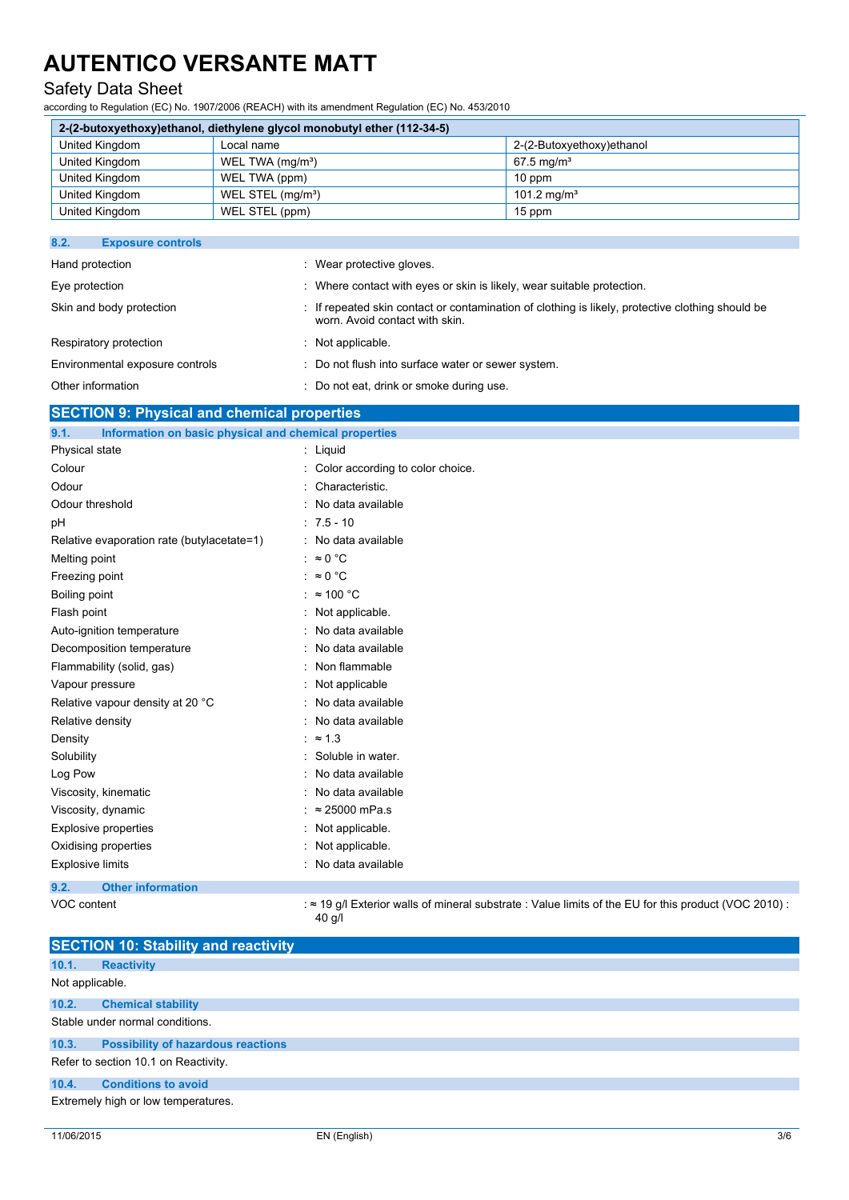### Safety Data Sheet

according to Regulation (EC) No. 1907/2006 (REACH) with its amendment Regulation (EC) No. 453/2010

| 2-(2-butoxyethoxy)ethanol, diethylene glycol monobutyl ether (112-34-5) |                               |                           |  |  |
|-------------------------------------------------------------------------|-------------------------------|---------------------------|--|--|
| United Kingdom                                                          | Local name                    | 2-(2-Butoxyethoxy)ethanol |  |  |
| United Kingdom                                                          | WEL TWA (mg/m <sup>3</sup> )  | $67.5 \,\mathrm{mq/m^3}$  |  |  |
| United Kingdom                                                          | WEL TWA (ppm)                 | $10$ ppm                  |  |  |
| United Kingdom                                                          | WEL STEL (mg/m <sup>3</sup> ) | 101.2 mg/m <sup>3</sup>   |  |  |
| United Kingdom                                                          | WEL STEL (ppm)                | 15 ppm                    |  |  |

| 8.2.<br><b>Exposure controls</b> |                                                                                                                                    |
|----------------------------------|------------------------------------------------------------------------------------------------------------------------------------|
| Hand protection                  | : Wear protective gloves.                                                                                                          |
| Eye protection                   | : Where contact with eyes or skin is likely, wear suitable protection.                                                             |
| Skin and body protection         | : If repeated skin contact or contamination of clothing is likely, protective clothing should be<br>worn. Avoid contact with skin. |
| Respiratory protection           | $:$ Not applicable.                                                                                                                |
| Environmental exposure controls  | : Do not flush into surface water or sewer system.                                                                                 |
| Other information                | : Do not eat, drink or smoke during use.                                                                                           |

#### **SECTION 9: Physical and chemical properties**

| 9.1.                    | Information on basic physical and chemical properties |                                                                                                             |
|-------------------------|-------------------------------------------------------|-------------------------------------------------------------------------------------------------------------|
| Physical state          |                                                       | : Liquid                                                                                                    |
| Colour                  |                                                       | Color according to color choice.                                                                            |
| Odour                   |                                                       | Characteristic.                                                                                             |
| Odour threshold         |                                                       | No data available                                                                                           |
| рH                      |                                                       | $: 7.5 - 10$                                                                                                |
|                         | Relative evaporation rate (butylacetate=1)            | : No data available                                                                                         |
| Melting point           |                                                       | : $\approx 0$ °C                                                                                            |
| Freezing point          |                                                       | $\approx 0$ °C                                                                                              |
| Boiling point           |                                                       | $\approx$ 100 °C                                                                                            |
| Flash point             |                                                       | Not applicable.                                                                                             |
|                         | Auto-ignition temperature                             | No data available                                                                                           |
|                         | Decomposition temperature                             | No data available                                                                                           |
|                         | Flammability (solid, gas)                             | Non flammable                                                                                               |
| Vapour pressure         |                                                       | Not applicable                                                                                              |
|                         | Relative vapour density at 20 °C                      | No data available                                                                                           |
| Relative density        |                                                       | No data available                                                                                           |
| Density                 |                                                       | $\approx$ 1.3                                                                                               |
| Solubility              |                                                       | Soluble in water.                                                                                           |
| Log Pow                 |                                                       | No data available                                                                                           |
|                         | Viscosity, kinematic                                  | No data available                                                                                           |
|                         | Viscosity, dynamic                                    | $\approx$ 25000 mPa.s                                                                                       |
|                         | <b>Explosive properties</b>                           | Not applicable.                                                                                             |
|                         | Oxidising properties                                  | Not applicable.                                                                                             |
| <b>Explosive limits</b> |                                                       | No data available                                                                                           |
| 9.2.                    | <b>Other information</b>                              |                                                                                                             |
| VOC content             |                                                       | $\approx$ 19 g/l Exterior walls of mineral substrate : Value limits of the EU for this product (VOC 2010) : |

40 g/l

|                 | <b>SECTION 10: Stability and reactivity</b> |
|-----------------|---------------------------------------------|
| 10.1.           | <b>Reactivity</b>                           |
| Not applicable. |                                             |
| 10.2.           | <b>Chemical stability</b>                   |
|                 | Stable under normal conditions.             |
| 10.3.           | <b>Possibility of hazardous reactions</b>   |
|                 | Refer to section 10.1 on Reactivity.        |
| 10.4.           | <b>Conditions to avoid</b>                  |
|                 | Extremely high or low temperatures.         |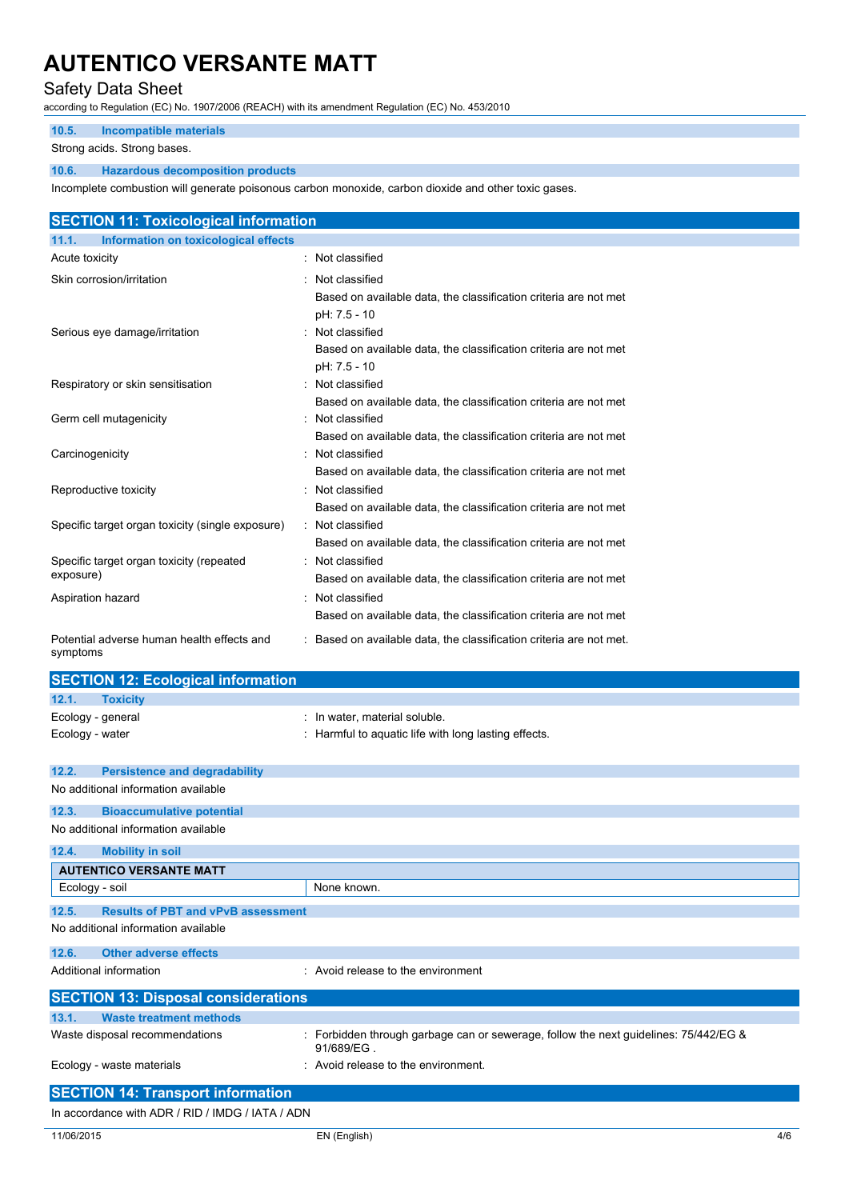### Safety Data Sheet

according to Regulation (EC) No. 1907/2006 (REACH) with its amendment Regulation (EC) No. 453/2010

#### **10.5. Incompatible materials**

Strong acids. Strong bases.

#### **10.6. Hazardous decomposition products**

Incomplete combustion will generate poisonous carbon monoxide, carbon dioxide and other toxic gases.

| <b>SECTION 11: Toxicological information</b>           |                                                                                                      |
|--------------------------------------------------------|------------------------------------------------------------------------------------------------------|
| Information on toxicological effects<br>11.1.          |                                                                                                      |
| Acute toxicity                                         | : Not classified                                                                                     |
| Skin corrosion/irritation                              | Not classified<br>Based on available data, the classification criteria are not met<br>pH: 7.5 - 10   |
| Serious eye damage/irritation                          | : Not classified<br>Based on available data, the classification criteria are not met<br>pH: 7.5 - 10 |
| Respiratory or skin sensitisation                      | Not classified<br>Based on available data, the classification criteria are not met                   |
| Germ cell mutagenicity                                 | : Not classified<br>Based on available data, the classification criteria are not met                 |
| Carcinogenicity                                        | : Not classified<br>Based on available data, the classification criteria are not met                 |
| Reproductive toxicity                                  | : Not classified<br>Based on available data, the classification criteria are not met                 |
| Specific target organ toxicity (single exposure)       | : Not classified<br>Based on available data, the classification criteria are not met                 |
| Specific target organ toxicity (repeated<br>exposure)  | : Not classified<br>Based on available data, the classification criteria are not met                 |
| Aspiration hazard                                      | Not classified<br>Based on available data, the classification criteria are not met                   |
| Potential adverse human health effects and<br>symptoms | : Based on available data, the classification criteria are not met.                                  |
| <b>SECTION 12: Ecological information</b>              |                                                                                                      |

|                 | <b>SECTION 12: ECOlOGICAL INTORMATION</b>  |                                                                                                  |
|-----------------|--------------------------------------------|--------------------------------------------------------------------------------------------------|
| 12.1.           | <b>Toxicity</b>                            |                                                                                                  |
|                 | Ecology - general                          | : In water, material soluble.                                                                    |
| Ecology - water |                                            | : Harmful to aquatic life with long lasting effects.                                             |
|                 |                                            |                                                                                                  |
| 12.2.           | <b>Persistence and degradability</b>       |                                                                                                  |
|                 | No additional information available        |                                                                                                  |
| 12.3.           | <b>Bioaccumulative potential</b>           |                                                                                                  |
|                 | No additional information available        |                                                                                                  |
| 12.4.           | <b>Mobility in soil</b>                    |                                                                                                  |
|                 | <b>AUTENTICO VERSANTE MATT</b>             |                                                                                                  |
| Ecology - soil  |                                            | None known.                                                                                      |
| 12.5.           | <b>Results of PBT and vPvB assessment</b>  |                                                                                                  |
|                 | No additional information available        |                                                                                                  |
| 12.6.           | <b>Other adverse effects</b>               |                                                                                                  |
|                 | Additional information                     | : Avoid release to the environment                                                               |
|                 | <b>SECTION 13: Disposal considerations</b> |                                                                                                  |
| 13.1.           | <b>Waste treatment methods</b>             |                                                                                                  |
|                 | Waste disposal recommendations             | Forbidden through garbage can or sewerage, follow the next guidelines: 75/442/EG &<br>91/689/EG. |
|                 | Ecology - waste materials                  | : Avoid release to the environment.                                                              |
|                 | <b>SECTION 14: Transport information</b>   |                                                                                                  |

In accordance with ADR / RID / IMDG / IATA / ADN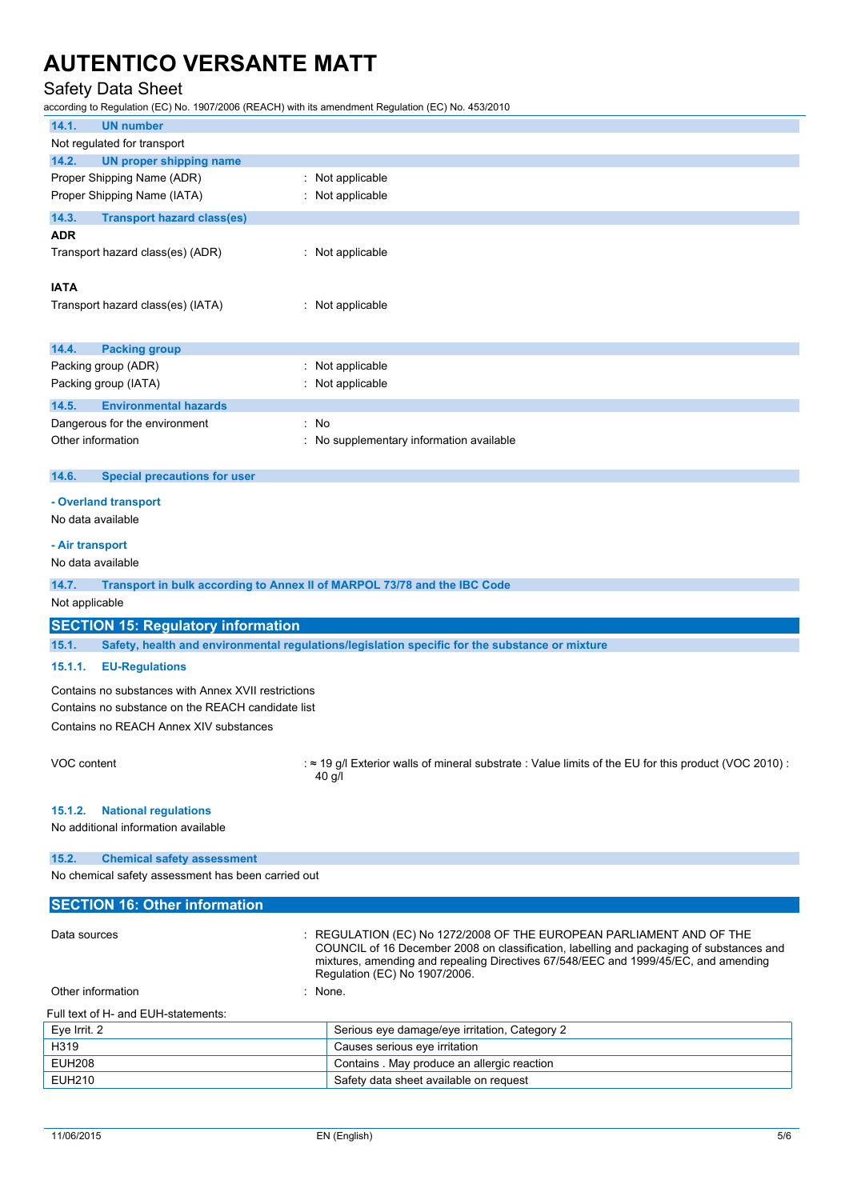### Safety Data Sheet

according to Regulation (EC) No. 1907/2006 (REACH) with its amendment Regulation (EC) No. 453/2010

| 14.1.<br><b>UN number</b>                           |                                                                                                                                                                                                                                                                                          |
|-----------------------------------------------------|------------------------------------------------------------------------------------------------------------------------------------------------------------------------------------------------------------------------------------------------------------------------------------------|
| Not regulated for transport                         |                                                                                                                                                                                                                                                                                          |
| 14.2.<br><b>UN proper shipping name</b>             |                                                                                                                                                                                                                                                                                          |
| Proper Shipping Name (ADR)                          | : Not applicable                                                                                                                                                                                                                                                                         |
| Proper Shipping Name (IATA)                         | : Not applicable                                                                                                                                                                                                                                                                         |
| 14.3.<br><b>Transport hazard class(es)</b>          |                                                                                                                                                                                                                                                                                          |
| <b>ADR</b>                                          |                                                                                                                                                                                                                                                                                          |
| Transport hazard class(es) (ADR)                    | : Not applicable                                                                                                                                                                                                                                                                         |
| <b>IATA</b>                                         |                                                                                                                                                                                                                                                                                          |
| Transport hazard class(es) (IATA)                   | : Not applicable                                                                                                                                                                                                                                                                         |
|                                                     |                                                                                                                                                                                                                                                                                          |
|                                                     |                                                                                                                                                                                                                                                                                          |
| 14.4.<br><b>Packing group</b>                       |                                                                                                                                                                                                                                                                                          |
| Packing group (ADR)                                 | : Not applicable                                                                                                                                                                                                                                                                         |
| Packing group (IATA)                                | : Not applicable                                                                                                                                                                                                                                                                         |
| <b>Environmental hazards</b><br>14.5.               |                                                                                                                                                                                                                                                                                          |
| Dangerous for the environment                       | : No                                                                                                                                                                                                                                                                                     |
| Other information                                   | : No supplementary information available                                                                                                                                                                                                                                                 |
|                                                     |                                                                                                                                                                                                                                                                                          |
| 14.6.<br><b>Special precautions for user</b>        |                                                                                                                                                                                                                                                                                          |
| - Overland transport                                |                                                                                                                                                                                                                                                                                          |
| No data available                                   |                                                                                                                                                                                                                                                                                          |
|                                                     |                                                                                                                                                                                                                                                                                          |
| - Air transport                                     |                                                                                                                                                                                                                                                                                          |
| No data available                                   |                                                                                                                                                                                                                                                                                          |
| 14.7.                                               | Transport in bulk according to Annex II of MARPOL 73/78 and the IBC Code                                                                                                                                                                                                                 |
| Not applicable                                      |                                                                                                                                                                                                                                                                                          |
| <b>SECTION 15: Regulatory information</b>           |                                                                                                                                                                                                                                                                                          |
| 15.1.                                               | Safety, health and environmental regulations/legislation specific for the substance or mixture                                                                                                                                                                                           |
|                                                     |                                                                                                                                                                                                                                                                                          |
| 15.1.1.<br><b>EU-Regulations</b>                    |                                                                                                                                                                                                                                                                                          |
| Contains no substances with Annex XVII restrictions |                                                                                                                                                                                                                                                                                          |
| Contains no substance on the REACH candidate list   |                                                                                                                                                                                                                                                                                          |
| Contains no REACH Annex XIV substances              |                                                                                                                                                                                                                                                                                          |
|                                                     |                                                                                                                                                                                                                                                                                          |
| VOC content                                         | $\approx$ 19 g/l Exterior walls of mineral substrate : Value limits of the EU for this product (VOC 2010) :<br>40 g/l                                                                                                                                                                    |
|                                                     |                                                                                                                                                                                                                                                                                          |
| 15.1.2.<br><b>National regulations</b>              |                                                                                                                                                                                                                                                                                          |
| No additional information available                 |                                                                                                                                                                                                                                                                                          |
|                                                     |                                                                                                                                                                                                                                                                                          |
| 15.2.<br><b>Chemical safety assessment</b>          |                                                                                                                                                                                                                                                                                          |
| No chemical safety assessment has been carried out  |                                                                                                                                                                                                                                                                                          |
| <b>SECTION 16: Other information</b>                |                                                                                                                                                                                                                                                                                          |
| Data sources                                        | : REGULATION (EC) No 1272/2008 OF THE EUROPEAN PARLIAMENT AND OF THE<br>COUNCIL of 16 December 2008 on classification, labelling and packaging of substances and<br>mixtures, amending and repealing Directives 67/548/EEC and 1999/45/EC, and amending<br>Regulation (EC) No 1907/2006. |
| Other information                                   | : None.                                                                                                                                                                                                                                                                                  |

#### Full text of H- and EUH-statements:

| Eve Irrit, 2 | Serious eye damage/eye irritation, Category 2 |
|--------------|-----------------------------------------------|
| H319         | Causes serious eye irritation                 |
| EUH208       | Contains . May produce an allergic reaction   |
| EUH210       | Safety data sheet available on request        |